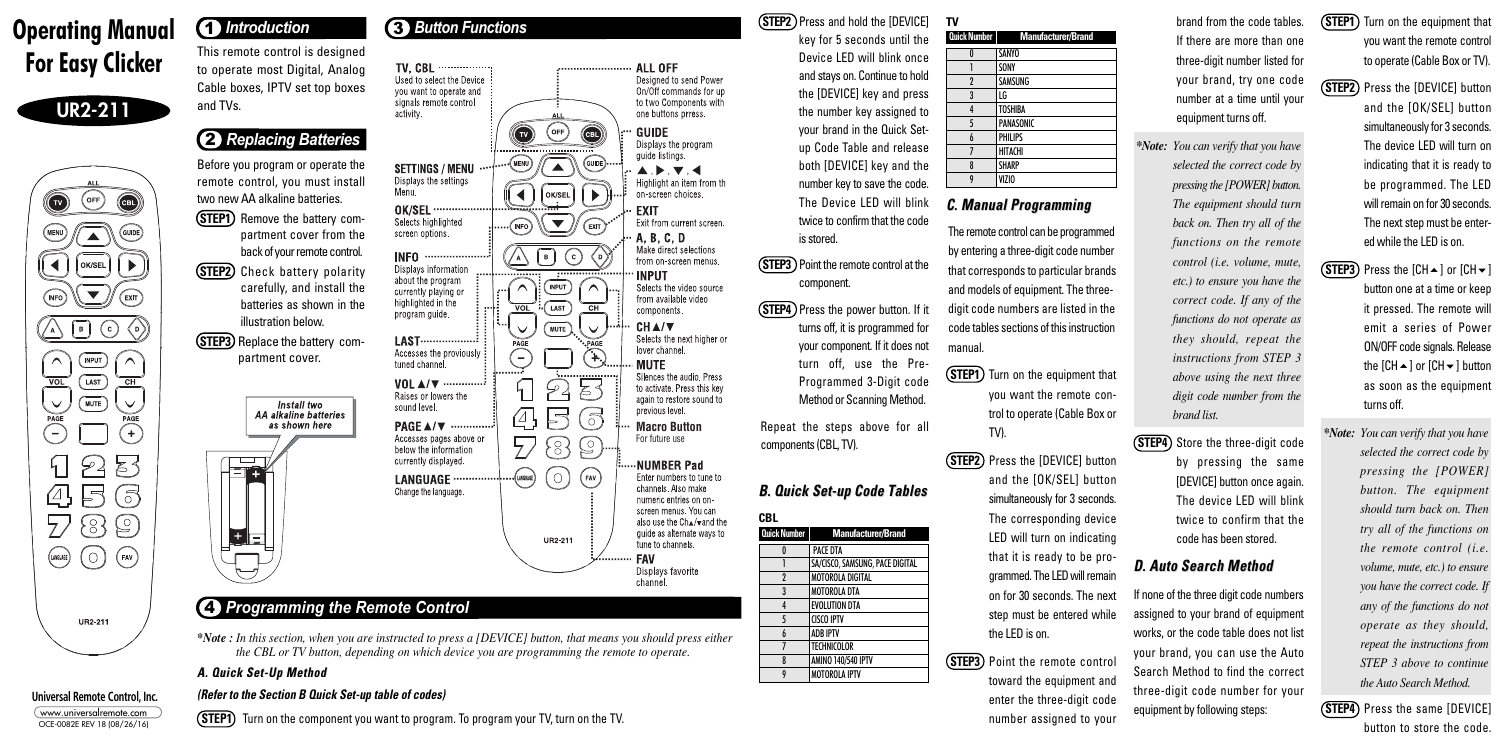key for 5 seconds until the Device LED will blink once and stays on. Continue to hold the [DEVICE] key and press the number key assigned to your brand in the Quick Setup Code Table and release both [DEVICE] key and the number key to save the code. The Device LED will blink twice to confirm that the code

is stored.

**STEP3** Point the remote control at the

**(STEP4)** Press the power button. If it

component.

turns off, it is programmed for your component. If it does not turn off, use the Pre-Programmed 3-Digit code Method or Scanning Method.

Repeat the steps above for all

components (CBL, TV).

**B. Quick Set-up Code Tables B. Quick Set-up Code Tables**

- **(STEP1)** Turn on the equipment that you want the remote control to operate (Cable Box or TV).
- **(STEP2)** Press the [DEVICE] button and the [OK/SEL] button simultaneously for 3 seconds. The corresponding device LED will turn on indicating that it is ready to be programmed. The LED will remain on for 30 seconds. The next step must be entered while the LED is on.

# **C. Manual Programming Manual Programming**

<u>9 VIZ</u>IO <u>V</u>

**(STEP3)** Point the remote control toward the equipment and enter the three-digit code number assigned to your

| and |  |
|-----|--|
|     |  |
|     |  |
|     |  |
|     |  |
|     |  |
|     |  |
|     |  |
|     |  |
|     |  |

The remote control can be programmed by entering a three-digit code number that corresponds to particular brands and models of equipment. The threedigit code numbers are listed in the code tables sections of this instruction manual.

- **(STEP1)** Turn on the equipment that you want the remote control to operate (Cable Box or TV).
- **(STEP2)** Press the [DEVICE] button and the [OK/SEL] button simultaneously for 3 seconds. The device LED will turn on indicating that it is ready to be programmed. The LED will remain on for 30 seconds. The next step must be entered while the LED is on.
- **(STEP3)** Press the  $[CH \rightarrow]$  or  $[CH \rightarrow]$ button one at a time or keep it pressed. The remote will emit a series of Power ON/OFF code signals. Release the  $ICH \rightarrow I$  or  $ICH \rightarrow I$  button as soon as the equipment turns off.
- *\*Note: You can verify that you have selected the correct code by pressing the [POWER] button. The equipment should turn back on. Then try all of the functions on the remote control (i.e. volume, mute, etc.) to ensure you have the correct code. If any of the functions do not operate as they should, repeat the instructions from STEP 3 above to continue the Auto Search Method.*
- **(STEP4)** Press the same [DEVICE] button to store the code.

**(STEP4)** Store the three-digit code by pressing the same [DEVICE] button once again. The device LED will blink twice to confirm that the code has been stored.

If none of the three digit code numbers assigned to your brand of equipment works, or the code table does not list your brand, you can use the Auto Search Method to find the correct three-digit code number for your equipment by following steps:

**For Easy Clicker** This remote control is designed<br>Cable boxes, IPTV set top boxes to operate most Digital, Analog Cable boxes, IPTV set top boxes and TVs.

- **(STEP1)** Remove the battery compartment cover from the back of your remote control.
- **(STEP2)** Check battery polarity carefully, and install the batteries as shown in the illustration below.
- **(STEP3)** Replace the battery compartment cover.



brand from the code tables. If there are more than one three-digit number listed for your brand, try one code number at a time until your equipment turns off.

*\*Note: You can verify that you have selected the correct code by pressing the [POWER] button. The equipment should turn back on. Then try all of the functions on the remote control (i.e. volume, mute, etc.) to ensure you have the correct code. If any of the functions do not operate as they should, repeat the instructions from STEP 3 above using the next three digit code number from the brand list.* 

## **D. Auto Search Method D. Auto Search Method**

## 3 *Button Functions*

## 4 *Programming the Remote Control*



**Universal Remote Control, Inc.** www.universalremote.com OCE-0082E REV 18 (08/26/16)

# **1** *Introduction*





# 2 *Replacing Batteries*

Before you program or operate the remote control, you must install two new AA alkaline batteries.

*\*Note : In this section, when you are instructed to press a [DEVICE] button, that means you should press either the CBL or TV button, depending on which device you are programming the remote to operate.*

### **A. Quick Set-Up Method A. Quick Set-Up Method**

### **(Refer to the Section B Quick Set-up table of codes)**

**(STEP1)** Turn on the component you want to program. To program your TV, turn on the TV.

**(STEP2)** Press and hold the [DEVICE]

**Quick Number Manufacturer/Brand**

2 MOTOROLA DIGITAL 3 MOTOROLA DTA **EVOLUTION DTA** 

**PACE DTA** 

 $|$  Technicolor  $\vert$  amino 140/540 ipty | MOTOROLA IPTV <u>9 Motorczna i po</u>

5 CISCO IPTV 6 ADB IPTV

SA/CISCO, SAMSUNG, PACE DIGITAL

**CBL**

| Quick Number   | Manufacturer/Brand |
|----------------|--------------------|
| N              | <b>SANYO</b>       |
|                | SONY               |
| $\overline{2}$ | <b>SAMSUNG</b>     |
| 3              | LG                 |
| 4              | <b>TOSHIBA</b>     |
| 5              | <b>PANASONIC</b>   |
| 6              | <b>PHILIPS</b>     |
| 7              | <b>HITACHI</b>     |
| 8              | <b>SHARP</b>       |
|                | VIZIO              |